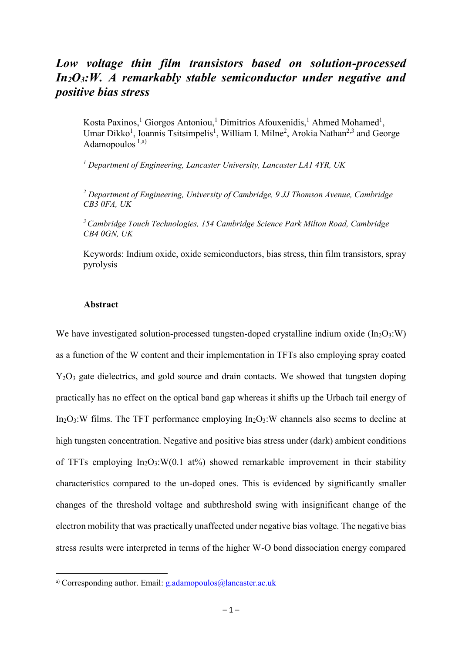## *Low voltage thin film transistors based on solution-processed In2O3:W. A remarkably stable semiconductor under negative and positive bias stress*

Kosta Paxinos,<sup>1</sup> Giorgos Antoniou,<sup>1</sup> Dimitrios Afouxenidis,<sup>1</sup> Ahmed Mohamed<sup>1</sup>, Umar Dikko<sup>1</sup>, Ioannis Tsitsimpelis<sup>1</sup>, William I. Milne<sup>2</sup>, Arokia Nathan<sup>2,3</sup> and George Adamopoulos  $^{1,a)}$ 

*<sup>1</sup> Department of Engineering, Lancaster University, Lancaster LA1 4YR, UK*

*<sup>2</sup> Department of Engineering, University of Cambridge, 9 JJ Thomson Avenue, Cambridge CB3 0FA, UK*

*<sup>3</sup>Cambridge Touch Technologies, 154 Cambridge Science Park Milton Road, Cambridge CB4 0GN, UK*

Keywords: Indium oxide, oxide semiconductors, bias stress, thin film transistors, spray pyrolysis

## **Abstract**

 $\overline{\phantom{a}}$ 

We have investigated solution-processed tungsten-doped crystalline indium oxide  $(In_2O_3:W)$ as a function of the W content and their implementation in TFTs also employing spray coated Y<sub>2</sub>O<sub>3</sub> gate dielectrics, and gold source and drain contacts. We showed that tungsten doping practically has no effect on the optical band gap whereas it shifts up the Urbach tail energy of In<sub>2</sub>O<sub>3</sub>:W films. The TFT performance employing  $In_2O_3$ :W channels also seems to decline at high tungsten concentration. Negative and positive bias stress under (dark) ambient conditions of TFTs employing  $In_2O_3: W(0.1 \text{ at\%)$  showed remarkable improvement in their stability characteristics compared to the un-doped ones. This is evidenced by significantly smaller changes of the threshold voltage and subthreshold swing with insignificant change of the electron mobility that was practically unaffected under negative bias voltage. The negative bias stress results were interpreted in terms of the higher W-O bond dissociation energy compared

a) Corresponding author. Email: [g.adamopoulos@lancaster.ac.uk](mailto:g.adamopoulos@lancaster.ac.uk)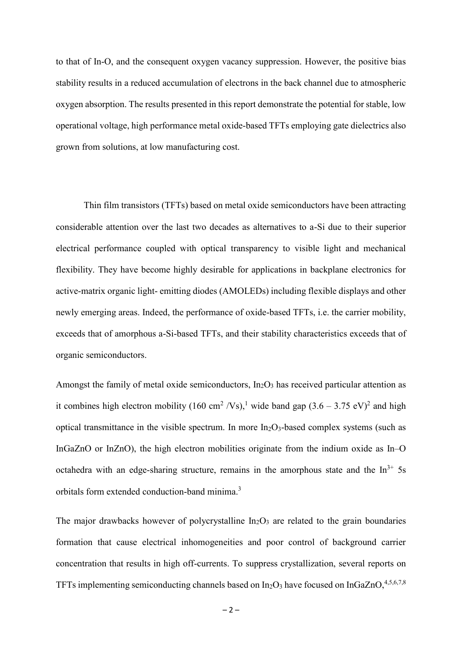to that of In-O, and the consequent oxygen vacancy suppression. However, the positive bias stability results in a reduced accumulation of electrons in the back channel due to atmospheric oxygen absorption. The results presented in this report demonstrate the potential for stable, low operational voltage, high performance metal oxide-based TFTs employing gate dielectrics also grown from solutions, at low manufacturing cost.

Thin film transistors (TFTs) based on metal oxide semiconductors have been attracting considerable attention over the last two decades as alternatives to a-Si due to their superior electrical performance coupled with optical transparency to visible light and mechanical flexibility. They have become highly desirable for applications in backplane electronics for active-matrix organic light- emitting diodes (AMOLEDs) including flexible displays and other newly emerging areas. Indeed, the performance of oxide-based TFTs, i.e. the carrier mobility, exceeds that of amorphous a-Si-based TFTs, and their stability characteristics exceeds that of organic semiconductors.

Amongst the family of metal oxide semiconductors,  $In_2O_3$  has received particular attention as it combines high electron mobility (160 cm<sup>2</sup> /Vs),<sup>1</sup> wide band gap  $(3.6 - 3.75 \text{ eV})^2$  and high optical transmittance in the visible spectrum. In more  $In_2O_3$ -based complex systems (such as InGaZnO or InZnO), the high electron mobilities originate from the indium oxide as In–O octahedra with an edge-sharing structure, remains in the amorphous state and the  $In^{3+}$  5s orbitals form extended conduction-band minima.<sup>3</sup>

The major drawbacks however of polycrystalline  $In_2O_3$  are related to the grain boundaries formation that cause electrical inhomogeneities and poor control of background carrier concentration that results in high off-currents. To suppress crystallization, several reports on TFTs implementing semiconducting channels based on  $In_2O_3$  have focused on InGaZnO, 4,5,6,7,8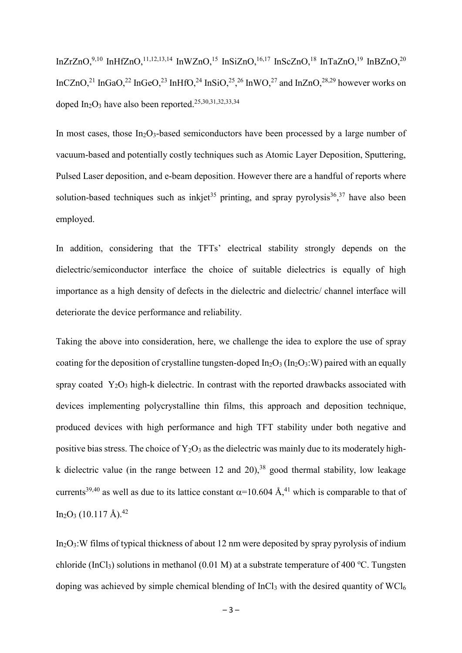$InZrZnO,9,10$  InHfZnO,  $^{11,12,13,14}$  InWZnO,  $^{15}$  InSiZnO,  $^{16,17}$  InScZnO,  $^{18}$  InTaZnO,  $^{19}$  InBZnO,  $^{20}$ InCZnO,<sup>21</sup> InGaO,<sup>22</sup> InGeO,<sup>23</sup> InHfO,<sup>24</sup> InSiO,<sup>25</sup>,<sup>26</sup> InWO,<sup>27</sup> and InZnO,<sup>28,29</sup> however works on doped  $In_2O_3$  have also been reported.<sup>25,30,31,32,33,34</sup>

In most cases, those  $In_2O_3$ -based semiconductors have been processed by a large number of vacuum-based and potentially costly techniques such as Atomic Layer Deposition, Sputtering, Pulsed Laser deposition, and e-beam deposition. However there are a handful of reports where solution-based techniques such as inkjet<sup>35</sup> printing, and spray pyrolysis<sup>36</sup>,<sup>37</sup> have also been employed.

In addition, considering that the TFTs' electrical stability strongly depends on the dielectric/semiconductor interface the choice of suitable dielectrics is equally of high importance as a high density of defects in the dielectric and dielectric/ channel interface will deteriorate the device performance and reliability.

Taking the above into consideration, here, we challenge the idea to explore the use of spray coating for the deposition of crystalline tungsten-doped  $In_2O_3$  ( $In_2O_3$ :W) paired with an equally spray coated  $Y_2O_3$  high-k dielectric. In contrast with the reported drawbacks associated with devices implementing polycrystalline thin films, this approach and deposition technique, produced devices with high performance and high TFT stability under both negative and positive bias stress. The choice of  $Y_2O_3$  as the dielectric was mainly due to its moderately highk dielectric value (in the range between 12 and  $20$ ),<sup>38</sup> good thermal stability, low leakage currents<sup>39,40</sup> as well as due to its lattice constant  $\alpha$ =10.604 Å,<sup>41</sup> which is comparable to that of  $In_2O_3$  (10.117 Å).<sup>42</sup>

In2O3:W films of typical thickness of about 12 nm were deposited by spray pyrolysis of indium chloride (InCl<sub>3</sub>) solutions in methanol (0.01 M) at a substrate temperature of 400 °C. Tungsten doping was achieved by simple chemical blending of  $InCl<sub>3</sub>$  with the desired quantity of  $WCl<sub>6</sub>$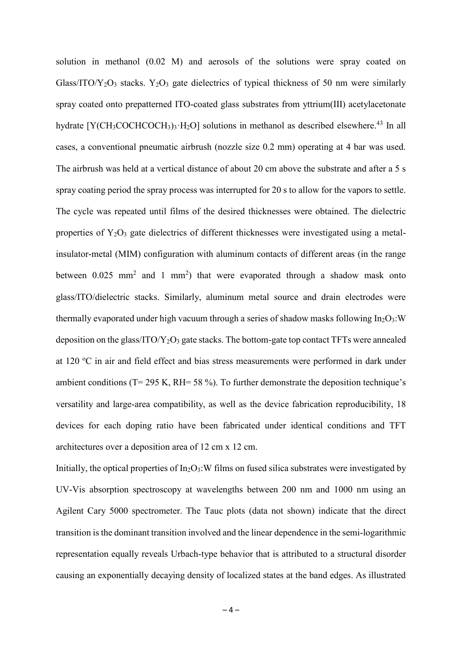solution in methanol (0.02 M) and aerosols of the solutions were spray coated on Glass/ITO/Y<sub>2</sub>O<sub>3</sub> stacks. Y<sub>2</sub>O<sub>3</sub> gate dielectrics of typical thickness of 50 nm were similarly spray coated onto prepatterned ITO-coated glass substrates from yttrium(III) acetylacetonate hydrate  $[Y(CH_3COCHCOCH_3)_3 \cdot H_2O]$  solutions in methanol as described elsewhere.<sup>43</sup> In all cases, a conventional pneumatic airbrush (nozzle size 0.2 mm) operating at 4 bar was used. The airbrush was held at a vertical distance of about 20 cm above the substrate and after a 5 s spray coating period the spray process was interrupted for 20 s to allow for the vapors to settle. The cycle was repeated until films of the desired thicknesses were obtained. The dielectric properties of  $Y_2O_3$  gate dielectrics of different thicknesses were investigated using a metalinsulator-metal (MIM) configuration with aluminum contacts of different areas (in the range between  $0.025$  mm<sup>2</sup> and 1 mm<sup>2</sup>) that were evaporated through a shadow mask onto glass/ITO/dielectric stacks. Similarly, aluminum metal source and drain electrodes were thermally evaporated under high vacuum through a series of shadow masks following  $In_2O_3$ : W deposition on the glass/ITO/ $Y_2O_3$  gate stacks. The bottom-gate top contact TFTs were annealed at 120  $\degree$ C in air and field effect and bias stress measurements were performed in dark under ambient conditions ( $T = 295$  K, RH= 58 %). To further demonstrate the deposition technique's versatility and large-area compatibility, as well as the device fabrication reproducibility, 18 devices for each doping ratio have been fabricated under identical conditions and TFT architectures over a deposition area of 12 cm x 12 cm.

Initially, the optical properties of  $In_2O_3$ : W films on fused silica substrates were investigated by UV-Vis absorption spectroscopy at wavelengths between 200 nm and 1000 nm using an Agilent Cary 5000 spectrometer. The Tauc plots (data not shown) indicate that the direct transition is the dominant transition involved and the linear dependence in the semi-logarithmic representation equally reveals Urbach-type behavior that is attributed to a structural disorder causing an exponentially decaying density of localized states at the band edges. As illustrated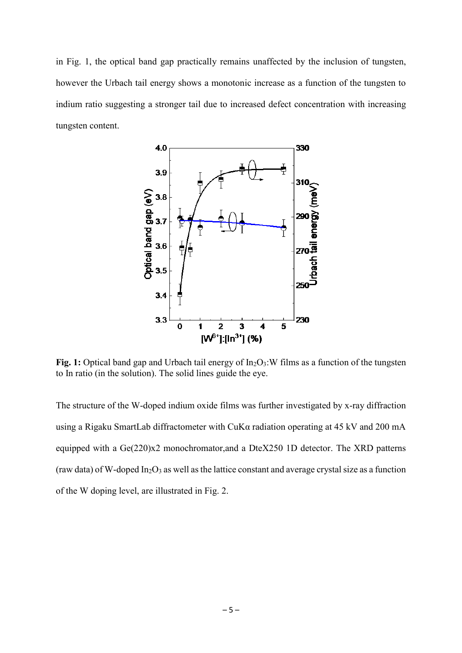in Fig. 1, the optical band gap practically remains unaffected by the inclusion of tungsten, however the Urbach tail energy shows a monotonic increase as a function of the tungsten to indium ratio suggesting a stronger tail due to increased defect concentration with increasing tungsten content.



Fig. 1: Optical band gap and Urbach tail energy of In<sub>2</sub>O<sub>3</sub>:W films as a function of the tungsten to In ratio (in the solution). The solid lines guide the eye.

The structure of the W-doped indium oxide films was further investigated by x-ray diffraction using a Rigaku SmartLab diffractometer with CuKα radiation operating at 45 kV and 200 mA equipped with a Ge(220)x2 monochromator,and a DteX250 1D detector. The XRD patterns (raw data) of W-doped  $In_2O_3$  as well as the lattice constant and average crystal size as a function of the W doping level, are illustrated in Fig. 2.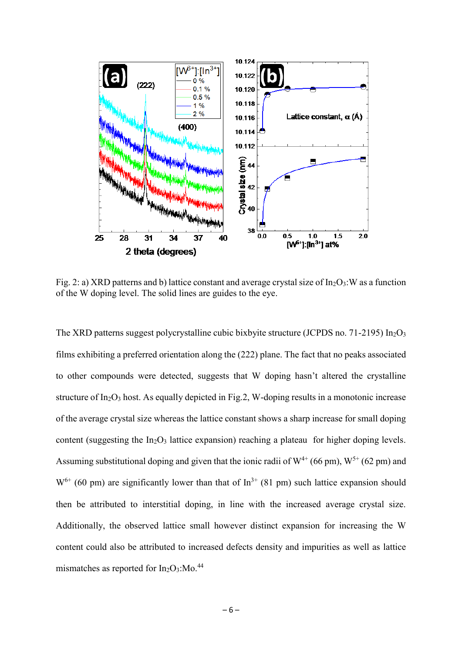

Fig. 2: a) XRD patterns and b) lattice constant and average crystal size of  $In_2O_3$ : W as a function of the W doping level. The solid lines are guides to the eye.

The XRD patterns suggest polycrystalline cubic bixbyite structure (JCPDS no. 71-2195) In<sub>2</sub>O<sub>3</sub> films exhibiting a preferred orientation along the (222) plane. The fact that no peaks associated to other compounds were detected, suggests that W doping hasn't altered the crystalline structure of  $In_2O_3$  host. As equally depicted in Fig.2, W-doping results in a monotonic increase of the average crystal size whereas the lattice constant shows a sharp increase for small doping content (suggesting the  $In_2O_3$  lattice expansion) reaching a plateau for higher doping levels. Assuming substitutional doping and given that the ionic radii of  $W^{4+}$  (66 pm),  $W^{5+}$  (62 pm) and  $W^{6+}$  (60 pm) are significantly lower than that of In<sup>3+</sup> (81 pm) such lattice expansion should then be attributed to interstitial doping, in line with the increased average crystal size. Additionally, the observed lattice small however distinct expansion for increasing the W content could also be attributed to increased defects density and impurities as well as lattice mismatches as reported for  $In<sub>2</sub>O<sub>3</sub>$ :Mo.<sup>44</sup>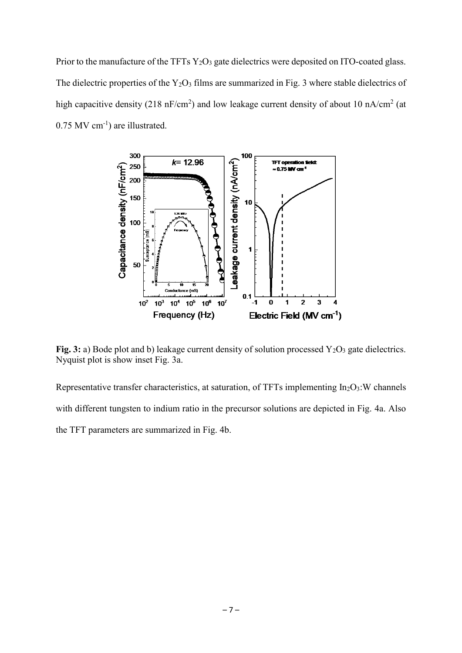Prior to the manufacture of the TFTs  $Y_2O_3$  gate dielectrics were deposited on ITO-coated glass. The dielectric properties of the  $Y_2O_3$  films are summarized in Fig. 3 where stable dielectrics of high capacitive density (218 nF/cm<sup>2</sup>) and low leakage current density of about 10 nA/cm<sup>2</sup> (at  $0.75$  MV cm<sup>-1</sup>) are illustrated.



**Fig. 3:** a) Bode plot and b) leakage current density of solution processed  $Y_2O_3$  gate dielectrics. Nyquist plot is show inset Fig. 3a.

Representative transfer characteristics, at saturation, of TFTs implementing  $In<sub>2</sub>O<sub>3</sub>:W$  channels with different tungsten to indium ratio in the precursor solutions are depicted in Fig. 4a. Also the TFT parameters are summarized in Fig. 4b.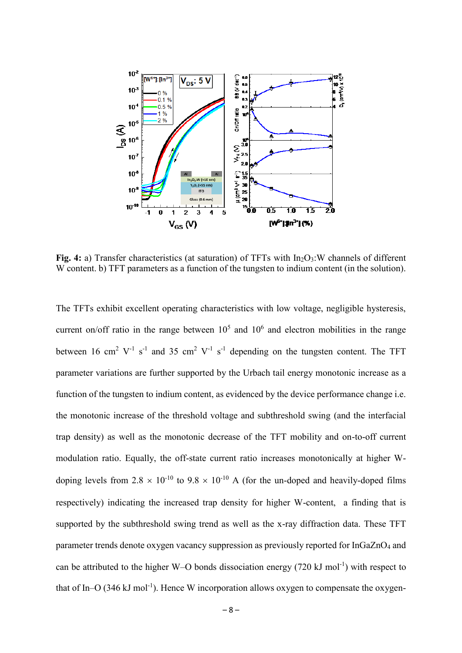

Fig. 4: a) Transfer characteristics (at saturation) of TFTs with In<sub>2</sub>O<sub>3</sub>:W channels of different W content. b) TFT parameters as a function of the tungsten to indium content (in the solution).

The TFTs exhibit excellent operating characteristics with low voltage, negligible hysteresis, current on/off ratio in the range between  $10^5$  and  $10^6$  and electron mobilities in the range between 16 cm<sup>2</sup> V<sup>-1</sup> s<sup>-1</sup> and 35 cm<sup>2</sup> V<sup>-1</sup> s<sup>-1</sup> depending on the tungsten content. The TFT parameter variations are further supported by the Urbach tail energy monotonic increase as a function of the tungsten to indium content, as evidenced by the device performance change i.e. the monotonic increase of the threshold voltage and subthreshold swing (and the interfacial trap density) as well as the monotonic decrease of the TFT mobility and on-to-off current modulation ratio. Equally, the off-state current ratio increases monotonically at higher Wdoping levels from 2.8  $\times$  10<sup>-10</sup> to 9.8  $\times$  10<sup>-10</sup> A (for the un-doped and heavily-doped films respectively) indicating the increased trap density for higher W-content, a finding that is supported by the subthreshold swing trend as well as the x-ray diffraction data. These TFT parameter trends denote oxygen vacancy suppression as previously reported for InGaZnO<sup>4</sup> and can be attributed to the higher W-O bonds dissociation energy  $(720 \text{ kJ mol}^{-1})$  with respect to that of In–O (346 kJ mol<sup>-1</sup>). Hence W incorporation allows oxygen to compensate the oxygen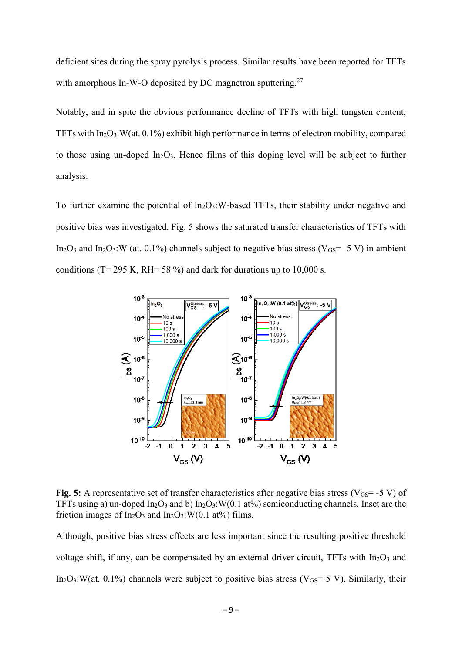deficient sites during the spray pyrolysis process. Similar results have been reported for TFTs with amorphous In-W-O deposited by DC magnetron sputtering.<sup>27</sup>

Notably, and in spite the obvious performance decline of TFTs with high tungsten content, TFTs with  $In_2O_3: W(at, 0.1\%)$  exhibit high performance in terms of electron mobility, compared to those using un-doped  $In_2O_3$ . Hence films of this doping level will be subject to further analysis.

To further examine the potential of  $In_2O_3$ : W-based TFTs, their stability under negative and positive bias was investigated. Fig. 5 shows the saturated transfer characteristics of TFTs with In<sub>2</sub>O<sub>3</sub> and In<sub>2</sub>O<sub>3</sub>:W (at. 0.1%) channels subject to negative bias stress ( $V_{GS}$ = -5 V) in ambient conditions (T= 295 K, RH= 58 %) and dark for durations up to 10,000 s.



**Fig.** 5: A representative set of transfer characteristics after negative bias stress ( $V_{GS}$ = -5 V) of TFTs using a) un-doped  $In_2O_3$  and b)  $In_2O_3$ : W(0.1 at%) semiconducting channels. Inset are the friction images of  $In_2O_3$  and  $In_2O_3$ : W(0.1 at%) films.

Although, positive bias stress effects are less important since the resulting positive threshold voltage shift, if any, can be compensated by an external driver circuit, TFTs with  $In_2O_3$  and In<sub>2</sub>O<sub>3</sub>:W(at. 0.1%) channels were subject to positive bias stress ( $V_{GS}$ = 5 V). Similarly, their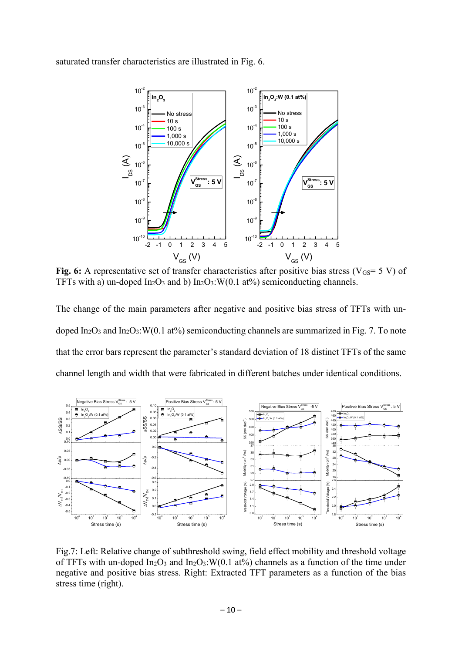saturated transfer characteristics are illustrated in Fig. 6.



**Fig.** 6: A representative set of transfer characteristics after positive bias stress ( $V_{GS} = 5 V$ ) of TFTs with a) un-doped  $In_2O_3$  and b)  $In_2O_3$ : W(0.1 at%) semiconducting channels.

The change of the main parameters after negative and positive bias stress of TFTs with undoped  $In_2O_3$  and  $In_2O_3$ : W(0.1 at%) semiconducting channels are summarized in Fig. 7. To note that the error bars represent the parameter's standard deviation of 18 distinct TFTs of the same channel length and width that were fabricated in different batches under identical conditions.



Fig.7: Left: Relative change of subthreshold swing, field effect mobility and threshold voltage of TFTs with un-doped  $In_2O_3$  and  $In_2O_3$ : W(0.1 at%) channels as a function of the time under negative and positive bias stress. Right: Extracted TFT parameters as a function of the bias stress time (right).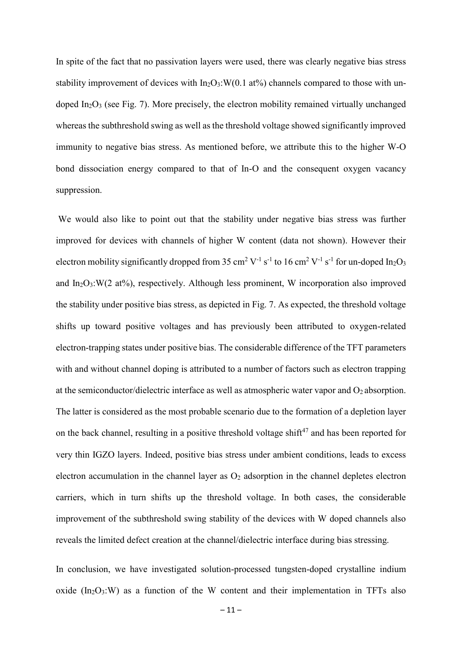In spite of the fact that no passivation layers were used, there was clearly negative bias stress stability improvement of devices with  $In_2O_3: W(0.1 \text{ at} \%)$  channels compared to those with undoped  $In_2O_3$  (see Fig. 7). More precisely, the electron mobility remained virtually unchanged whereas the subthreshold swing as well as the threshold voltage showed significantly improved immunity to negative bias stress. As mentioned before, we attribute this to the higher W-O bond dissociation energy compared to that of In-O and the consequent oxygen vacancy suppression.

We would also like to point out that the stability under negative bias stress was further improved for devices with channels of higher W content (data not shown). However their electron mobility significantly dropped from 35 cm<sup>2</sup> V<sup>-1</sup> s<sup>-1</sup> to 16 cm<sup>2</sup> V<sup>-1</sup> s<sup>-1</sup> for un-doped In<sub>2</sub>O<sub>3</sub> and  $In_2O_3: W(2 \text{ at} \%)$ , respectively. Although less prominent, W incorporation also improved the stability under positive bias stress, as depicted in Fig. 7. As expected, the threshold voltage shifts up toward positive voltages and has previously been attributed to oxygen-related electron-trapping states under positive bias. The considerable difference of the TFT parameters with and without channel doping is attributed to a number of factors such as electron trapping at the semiconductor/dielectric interface as well as atmospheric water vapor and  $O_2$  absorption. The latter is considered as the most probable scenario due to the formation of a depletion layer on the back channel, resulting in a positive threshold voltage shift $47$  and has been reported for very thin IGZO layers. Indeed, positive bias stress under ambient conditions, leads to excess electron accumulation in the channel layer as  $O<sub>2</sub>$  adsorption in the channel depletes electron carriers, which in turn shifts up the threshold voltage. In both cases, the considerable improvement of the subthreshold swing stability of the devices with W doped channels also reveals the limited defect creation at the channel/dielectric interface during bias stressing.

In conclusion, we have investigated solution-processed tungsten-doped crystalline indium oxide  $(In_2O_3:W)$  as a function of the W content and their implementation in TFTs also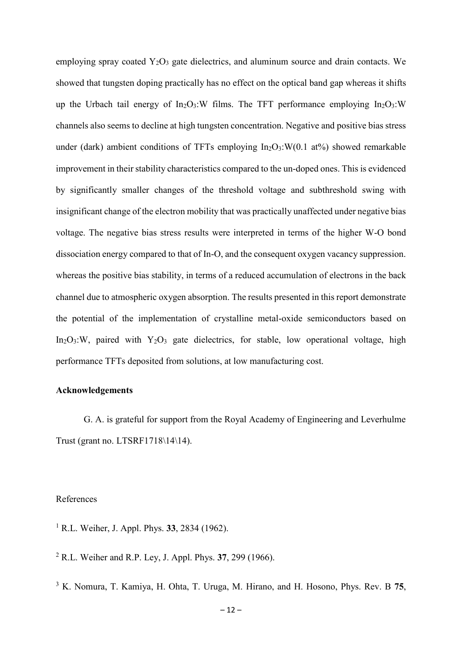employing spray coated  $Y_2O_3$  gate dielectrics, and aluminum source and drain contacts. We showed that tungsten doping practically has no effect on the optical band gap whereas it shifts up the Urbach tail energy of  $In_2O_3$ : W films. The TFT performance employing  $In_2O_3$ : W channels also seems to decline at high tungsten concentration. Negative and positive bias stress under (dark) ambient conditions of TFTs employing  $In_2O_3:W(0.1 \text{ at} \%)$  showed remarkable improvement in their stability characteristics compared to the un-doped ones. This is evidenced by significantly smaller changes of the threshold voltage and subthreshold swing with insignificant change of the electron mobility that was practically unaffected under negative bias voltage. The negative bias stress results were interpreted in terms of the higher W-O bond dissociation energy compared to that of In-O, and the consequent oxygen vacancy suppression. whereas the positive bias stability, in terms of a reduced accumulation of electrons in the back channel due to atmospheric oxygen absorption. The results presented in this report demonstrate the potential of the implementation of crystalline metal-oxide semiconductors based on  $In_2O_3:W$ , paired with  $Y_2O_3$  gate dielectrics, for stable, low operational voltage, high performance TFTs deposited from solutions, at low manufacturing cost.

## **Acknowledgements**

G. A. is grateful for support from the Royal Academy of Engineering and Leverhulme Trust (grant no. LTSRF1718\14\14).

## References

- <sup>1</sup> R.L. Weiher, J. Appl. Phys. **33**, 2834 (1962).
- <sup>2</sup> R.L. Weiher and R.P. Ley, J. Appl. Phys. **37**, 299 (1966).
- <sup>3</sup> K. Nomura, T. Kamiya, H. Ohta, T. Uruga, M. Hirano, and H. Hosono, Phys. Rev. B **75**,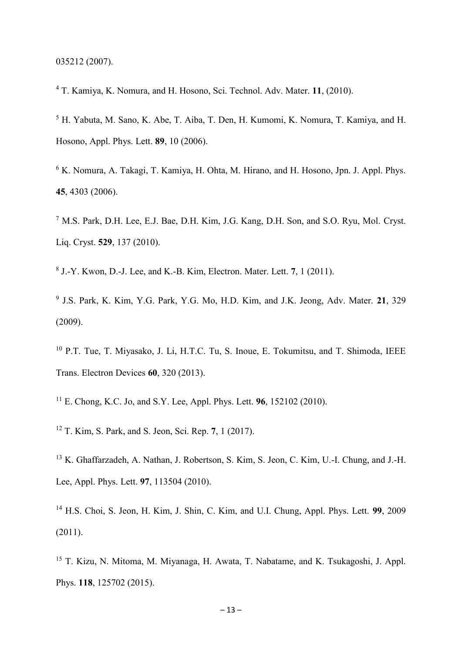035212 (2007).

<sup>4</sup> T. Kamiya, K. Nomura, and H. Hosono, Sci. Technol. Adv. Mater. **11**, (2010).

<sup>5</sup> H. Yabuta, M. Sano, K. Abe, T. Aiba, T. Den, H. Kumomi, K. Nomura, T. Kamiya, and H. Hosono, Appl. Phys. Lett. **89**, 10 (2006).

<sup>6</sup> K. Nomura, A. Takagi, T. Kamiya, H. Ohta, M. Hirano, and H. Hosono, Jpn. J. Appl. Phys. **45**, 4303 (2006).

<sup>7</sup> M.S. Park, D.H. Lee, E.J. Bae, D.H. Kim, J.G. Kang, D.H. Son, and S.O. Ryu, Mol. Cryst. Liq. Cryst. **529**, 137 (2010).

8 J.-Y. Kwon, D.-J. Lee, and K.-B. Kim, Electron. Mater. Lett. **7**, 1 (2011).

9 J.S. Park, K. Kim, Y.G. Park, Y.G. Mo, H.D. Kim, and J.K. Jeong, Adv. Mater. **21**, 329 (2009).

<sup>10</sup> P.T. Tue, T. Mivasako, J. Li, H.T.C. Tu, S. Inoue, E. Tokumitsu, and T. Shimoda, IEEE Trans. Electron Devices **60**, 320 (2013).

<sup>11</sup> E. Chong, K.C. Jo, and S.Y. Lee, Appl. Phys. Lett. **96**, 152102 (2010).

<sup>12</sup> T. Kim, S. Park, and S. Jeon, Sci. Rep. **7**, 1 (2017).

<sup>13</sup> K. Ghaffarzadeh, A. Nathan, J. Robertson, S. Kim, S. Jeon, C. Kim, U.-I. Chung, and J.-H. Lee, Appl. Phys. Lett. **97**, 113504 (2010).

<sup>14</sup> H.S. Choi, S. Jeon, H. Kim, J. Shin, C. Kim, and U.I. Chung, Appl. Phys. Lett. **99**, 2009 (2011).

<sup>15</sup> T. Kizu, N. Mitoma, M. Miyanaga, H. Awata, T. Nabatame, and K. Tsukagoshi, J. Appl. Phys. **118**, 125702 (2015).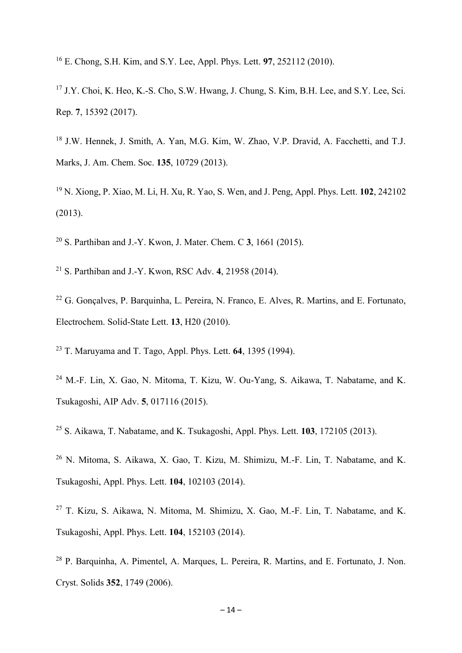<sup>16</sup> E. Chong, S.H. Kim, and S.Y. Lee, Appl. Phys. Lett. **97**, 252112 (2010).

- <sup>17</sup> J.Y. Choi, K. Heo, K.-S. Cho, S.W. Hwang, J. Chung, S. Kim, B.H. Lee, and S.Y. Lee, Sci. Rep. **7**, 15392 (2017).
- <sup>18</sup> J.W. Hennek, J. Smith, A. Yan, M.G. Kim, W. Zhao, V.P. Dravid, A. Facchetti, and T.J. Marks, J. Am. Chem. Soc. **135**, 10729 (2013).
- <sup>19</sup> N. Xiong, P. Xiao, M. Li, H. Xu, R. Yao, S. Wen, and J. Peng, Appl. Phys. Lett. **102**, 242102 (2013).
- <sup>20</sup> S. Parthiban and J.-Y. Kwon, J. Mater. Chem. C **3**, 1661 (2015).
- <sup>21</sup> S. Parthiban and J.-Y. Kwon, RSC Adv. **4**, 21958 (2014).
- <sup>22</sup> G. Goncalves, P. Barquinha, L. Pereira, N. Franco, E. Alves, R. Martins, and E. Fortunato, Electrochem. Solid-State Lett. **13**, H20 (2010).
- <sup>23</sup> T. Maruyama and T. Tago, Appl. Phys. Lett. **64**, 1395 (1994).
- <sup>24</sup> M.-F. Lin, X. Gao, N. Mitoma, T. Kizu, W. Ou-Yang, S. Aikawa, T. Nabatame, and K. Tsukagoshi, AIP Adv. **5**, 017116 (2015).
- <sup>25</sup> S. Aikawa, T. Nabatame, and K. Tsukagoshi, Appl. Phys. Lett. **103**, 172105 (2013).
- <sup>26</sup> N. Mitoma, S. Aikawa, X. Gao, T. Kizu, M. Shimizu, M.-F. Lin, T. Nabatame, and K. Tsukagoshi, Appl. Phys. Lett. **104**, 102103 (2014).
- <sup>27</sup> T. Kizu, S. Aikawa, N. Mitoma, M. Shimizu, X. Gao, M.-F. Lin, T. Nabatame, and K. Tsukagoshi, Appl. Phys. Lett. **104**, 152103 (2014).
- <sup>28</sup> P. Barquinha, A. Pimentel, A. Marques, L. Pereira, R. Martins, and E. Fortunato, J. Non. Cryst. Solids **352**, 1749 (2006).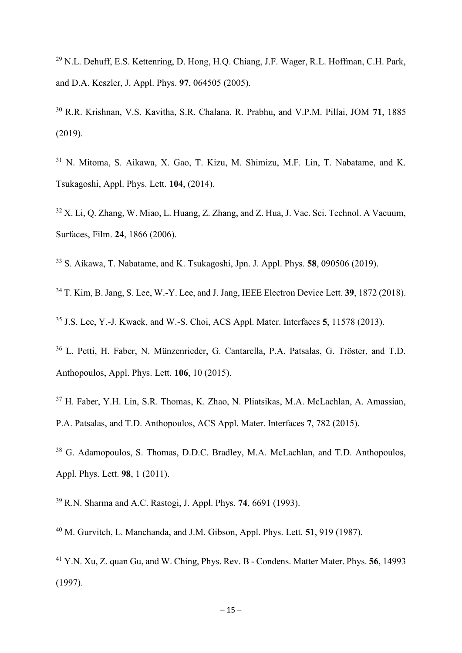<sup>29</sup> N.L. Dehuff, E.S. Kettenring, D. Hong, H.O. Chiang, J.F. Wager, R.L. Hoffman, C.H. Park, and D.A. Keszler, J. Appl. Phys. **97**, 064505 (2005).

<sup>30</sup> R.R. Krishnan, V.S. Kavitha, S.R. Chalana, R. Prabhu, and V.P.M. Pillai, JOM **71**, 1885 (2019).

<sup>31</sup> N. Mitoma, S. Aikawa, X. Gao, T. Kizu, M. Shimizu, M.F. Lin, T. Nabatame, and K. Tsukagoshi, Appl. Phys. Lett. **104**, (2014).

 $32$  X, Li, O, Zhang, W. Miao, L. Huang, Z. Zhang, and Z. Hua, J. Vac. Sci. Technol. A Vacuum, Surfaces, Film. **24**, 1866 (2006).

<sup>33</sup> S. Aikawa, T. Nabatame, and K. Tsukagoshi, Jpn. J. Appl. Phys. **58**, 090506 (2019).

<sup>34</sup> T. Kim, B. Jang, S. Lee, W.-Y. Lee, and J. Jang, IEEE Electron Device Lett. **39**, 1872 (2018).

<sup>35</sup> J.S. Lee, Y.-J. Kwack, and W.-S. Choi, ACS Appl. Mater. Interfaces **5**, 11578 (2013).

<sup>36</sup> L. Petti, H. Faber, N. Münzenrieder, G. Cantarella, P.A. Patsalas, G. Tröster, and T.D. Anthopoulos, Appl. Phys. Lett. **106**, 10 (2015).

<sup>37</sup> H. Faber, Y.H. Lin, S.R. Thomas, K. Zhao, N. Pliatsikas, M.A. McLachlan, A. Amassian, P.A. Patsalas, and T.D. Anthopoulos, ACS Appl. Mater. Interfaces **7**, 782 (2015).

<sup>38</sup> G. Adamopoulos, S. Thomas, D.D.C. Bradley, M.A. McLachlan, and T.D. Anthopoulos, Appl. Phys. Lett. **98**, 1 (2011).

<sup>39</sup> R.N. Sharma and A.C. Rastogi, J. Appl. Phys. **74**, 6691 (1993).

<sup>40</sup> M. Gurvitch, L. Manchanda, and J.M. Gibson, Appl. Phys. Lett. **51**, 919 (1987).

<sup>41</sup> Y.N. Xu, Z. quan Gu, and W. Ching, Phys. Rev. B - Condens. Matter Mater. Phys. **56**, 14993 (1997).